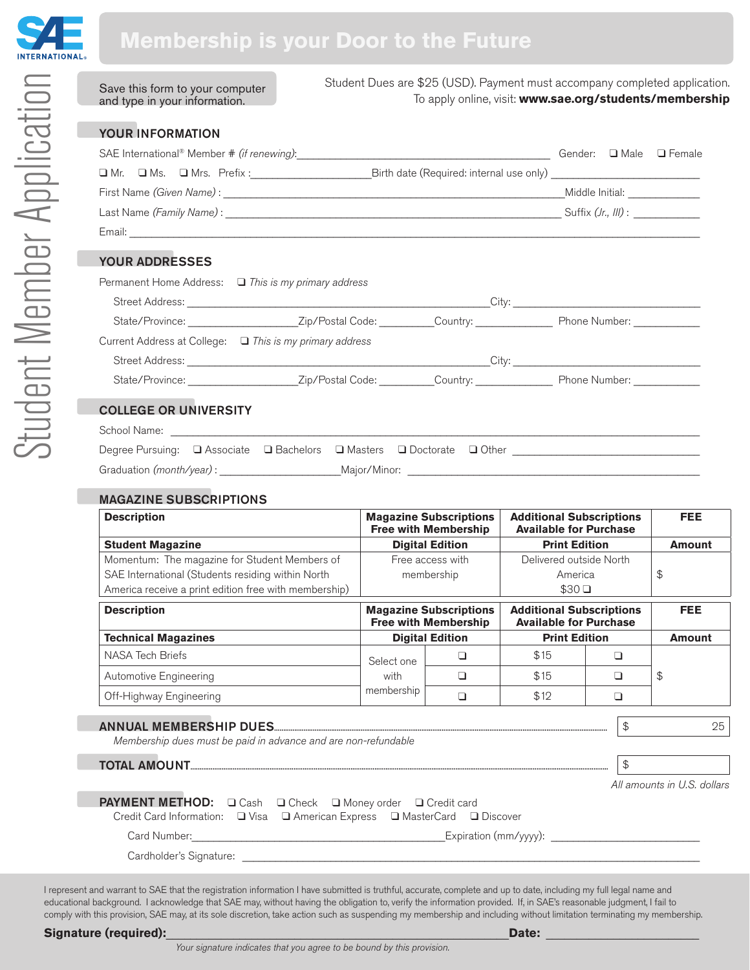

# **Membership is your Door to the Future**

| Save this form to your computer<br>and type in your information.                                                                                                                                                              | Student Dues are \$25 (USD). Payment must accompany completed application.<br>To apply online, visit: www.sae.org/students/membership |  |  |  |  |  |
|-------------------------------------------------------------------------------------------------------------------------------------------------------------------------------------------------------------------------------|---------------------------------------------------------------------------------------------------------------------------------------|--|--|--|--|--|
| <b>YOUR INFORMATION</b>                                                                                                                                                                                                       |                                                                                                                                       |  |  |  |  |  |
| SAE International® Member # (if renewing): and the content of the content of the content of the content of the content of the content of the content of the content of the content of the content of the content of the conte |                                                                                                                                       |  |  |  |  |  |
|                                                                                                                                                                                                                               |                                                                                                                                       |  |  |  |  |  |
|                                                                                                                                                                                                                               |                                                                                                                                       |  |  |  |  |  |
|                                                                                                                                                                                                                               |                                                                                                                                       |  |  |  |  |  |
|                                                                                                                                                                                                                               |                                                                                                                                       |  |  |  |  |  |
| <b>YOUR ADDRESSES</b>                                                                                                                                                                                                         |                                                                                                                                       |  |  |  |  |  |
| Permanent Home Address: $\Box$ This is my primary address                                                                                                                                                                     |                                                                                                                                       |  |  |  |  |  |
|                                                                                                                                                                                                                               |                                                                                                                                       |  |  |  |  |  |
|                                                                                                                                                                                                                               |                                                                                                                                       |  |  |  |  |  |
| Current Address at College: □ This is my primary address                                                                                                                                                                      |                                                                                                                                       |  |  |  |  |  |
|                                                                                                                                                                                                                               |                                                                                                                                       |  |  |  |  |  |
|                                                                                                                                                                                                                               |                                                                                                                                       |  |  |  |  |  |
| <b>COLLEGE OR UNIVERSITY</b>                                                                                                                                                                                                  |                                                                                                                                       |  |  |  |  |  |

| School Name: |
|--------------|
|              |

| School Name:                                                           |  |  |  |  |  |
|------------------------------------------------------------------------|--|--|--|--|--|
| Degree Pursuing: □ Associate □ Bachelors □ Masters □ Doctorate □ Other |  |  |  |  |  |
| Graduation (month/year) :<br>Maior/Minor:                              |  |  |  |  |  |

## MAGAZINE SUBSCRIPTIONS

|                  | <b>Magazine Subscriptions</b><br><b>Free with Membership</b>   |                                                          | <b>Additional Subscriptions</b><br><b>Available for Purchase</b>           |               |                                                           |
|------------------|----------------------------------------------------------------|----------------------------------------------------------|----------------------------------------------------------------------------|---------------|-----------------------------------------------------------|
|                  | <b>Digital Edition</b>                                         |                                                          | <b>Print Edition</b>                                                       |               |                                                           |
| Free access with |                                                                | Delivered outside North                                  |                                                                            |               |                                                           |
| membership       |                                                                | America                                                  |                                                                            |               | \$                                                        |
|                  |                                                                | $$30\Box$                                                |                                                                            |               |                                                           |
|                  | <b>Magazine Subscriptions</b><br><b>Free with Membership</b>   |                                                          | <b>Additional Subscriptions</b><br><b>Available for Purchase</b>           |               | <b>FEE</b>                                                |
|                  | <b>Digital Edition</b>                                         |                                                          | <b>Print Edition</b>                                                       |               |                                                           |
| Select one       | ❏                                                              | \$15                                                     |                                                                            |               |                                                           |
| with             | $\Box$                                                         | \$15                                                     | ◘<br>◘                                                                     |               | \$                                                        |
| membership       | $\Box$                                                         | \$12                                                     |                                                                            |               |                                                           |
|                  |                                                                |                                                          |                                                                            | $\frac{1}{2}$ | 25                                                        |
|                  |                                                                |                                                          |                                                                            |               |                                                           |
|                  |                                                                |                                                          |                                                                            |               | All amounts in U.S. dollars                               |
|                  |                                                                |                                                          |                                                                            |               |                                                           |
|                  |                                                                |                                                          |                                                                            |               |                                                           |
|                  |                                                                |                                                          |                                                                            |               |                                                           |
|                  | Membership dues must be paid in advance and are non-refundable | PAYMENT METHOD: Cash C Check C Money order C Credit card | Credit Card Information: Q Visa Q American Express Q MasterCard Q Discover |               | ◘<br>$\mathfrak{P}$<br>Card Number: Expiration (mm/yyyy): |

I represent and warrant to SAE that the registration information I have submitted is truthful, accurate, complete and up to date, including my full legal name and educational background. I acknowledge that SAE may, without having the obligation to, verify the information provided. If, in SAE's reasonable judgment, I fail to comply with this provision, SAE may, at its sole discretion, take action such as suspending my membership and including without limitation terminating my membership.

### **Signature (required):**\_\_\_\_\_\_\_\_\_\_\_\_\_\_\_\_\_\_\_\_\_\_\_\_\_\_\_\_\_\_\_\_\_\_\_\_\_\_\_\_\_\_\_\_\_\_\_\_\_\_\_\_\_\_\_\_**Date:** \_\_\_\_\_\_\_\_\_\_\_\_\_\_\_\_\_\_\_\_\_\_\_\_\_